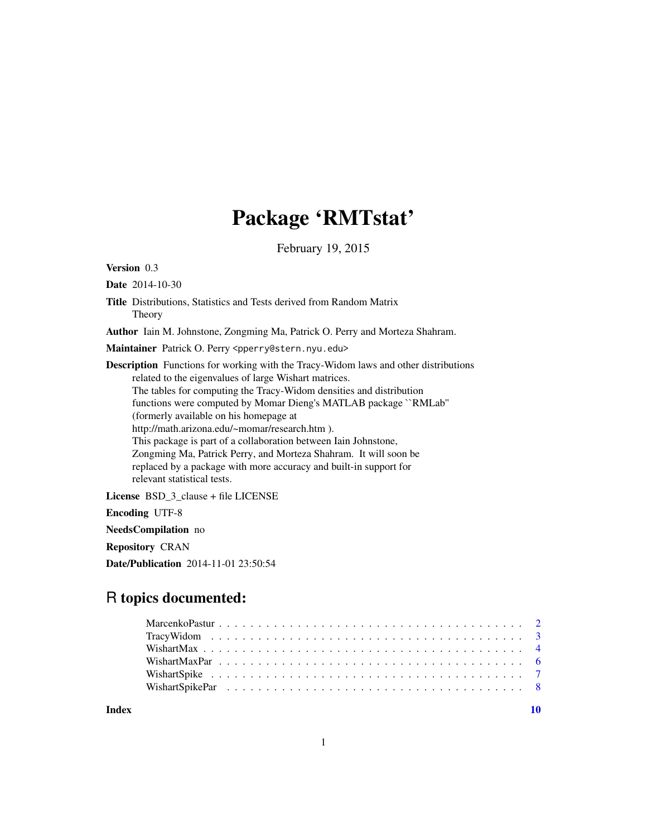## Package 'RMTstat'

February 19, 2015

<span id="page-0-0"></span>Version 0.3

Date 2014-10-30

Title Distributions, Statistics and Tests derived from Random Matrix Theory

Author Iain M. Johnstone, Zongming Ma, Patrick O. Perry and Morteza Shahram.

Maintainer Patrick O. Perry <pperry@stern.nyu.edu>

Description Functions for working with the Tracy-Widom laws and other distributions related to the eigenvalues of large Wishart matrices. The tables for computing the Tracy-Widom densities and distribution functions were computed by Momar Dieng's MATLAB package ``RMLab'' (formerly available on his homepage at http://math.arizona.edu/~momar/research.htm ). This package is part of a collaboration between Iain Johnstone, Zongming Ma, Patrick Perry, and Morteza Shahram. It will soon be replaced by a package with more accuracy and built-in support for relevant statistical tests.

License BSD 3 clause + file LICENSE

Encoding UTF-8

NeedsCompilation no

Repository CRAN

Date/Publication 2014-11-01 23:50:54

### R topics documented:

 $\blacksquare$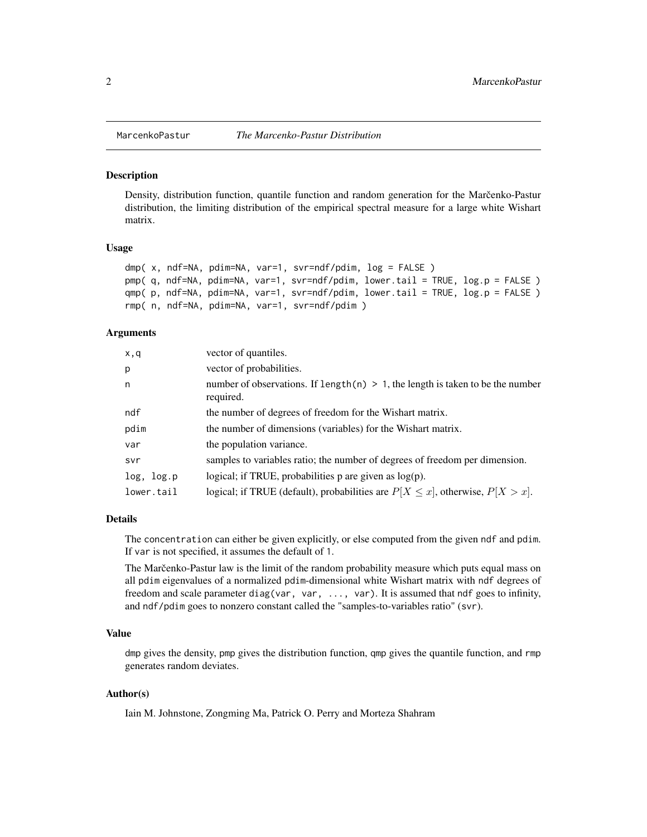<span id="page-1-0"></span>

#### Description

Density, distribution function, quantile function and random generation for the Marcenko-Pastur distribution, the limiting distribution of the empirical spectral measure for a large white Wishart matrix.

#### Usage

```
dmp( x, ndf=NA, pdim=NA, var=1, svr=ndf/pdim, log = FALSE )
pmp( q, ndf=NA, pdim=NA, var=1, svr=ndf/pdim, lower.tail = TRUE, log.p = FALSE )
qmp( p, ndf=NA, pdim=NA, var=1, svr=ndf/pdim, lower.tail = TRUE, log.p = FALSE )
rmp( n, ndf=NA, pdim=NA, var=1, svr=ndf/pdim )
```
#### **Arguments**

| x,q        | vector of quantiles.                                                                           |
|------------|------------------------------------------------------------------------------------------------|
| p          | vector of probabilities.                                                                       |
| n          | number of observations. If length(n) $> 1$ , the length is taken to be the number<br>required. |
| ndf        | the number of degrees of freedom for the Wishart matrix.                                       |
| pdim       | the number of dimensions (variables) for the Wishart matrix.                                   |
| var        | the population variance.                                                                       |
| svr        | samples to variables ratio; the number of degrees of freedom per dimension.                    |
| log, log.p | logical; if TRUE, probabilities $p$ are given as $log(p)$ .                                    |
| lower.tail | logical; if TRUE (default), probabilities are $P[X \le x]$ , otherwise, $P[X > x]$ .           |

#### Details

The concentration can either be given explicitly, or else computed from the given ndf and pdim. If var is not specified, it assumes the default of 1.

The Marcenko-Pastur law is the limit of the random probability measure which puts equal mass on all pdim eigenvalues of a normalized pdim-dimensional white Wishart matrix with ndf degrees of freedom and scale parameter diag(var, var, ..., var). It is assumed that ndf goes to infinity, and ndf/pdim goes to nonzero constant called the "samples-to-variables ratio" (svr).

#### Value

dmp gives the density, pmp gives the distribution function, qmp gives the quantile function, and rmp generates random deviates.

#### Author(s)

Iain M. Johnstone, Zongming Ma, Patrick O. Perry and Morteza Shahram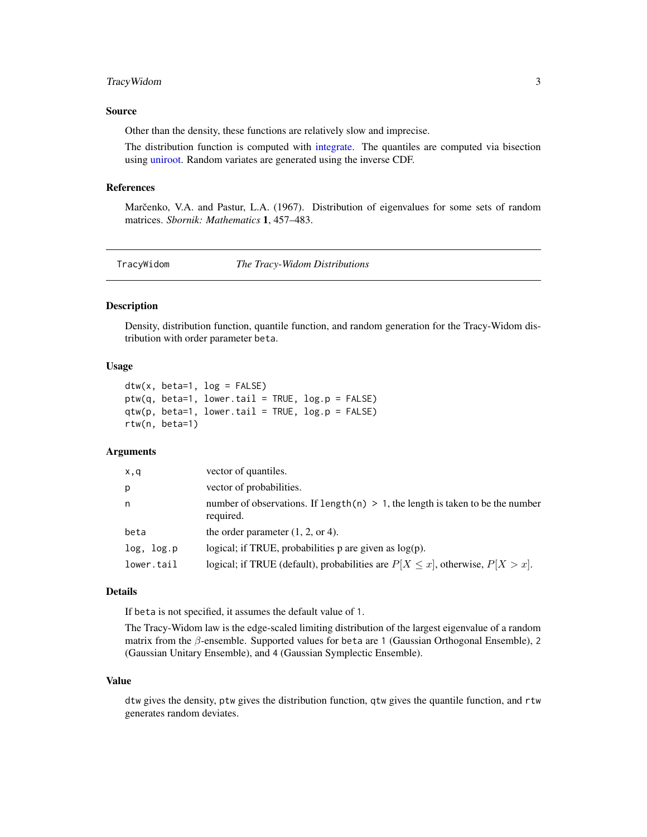#### <span id="page-2-0"></span>TracyWidom 3

#### Source

Other than the density, these functions are relatively slow and imprecise.

The distribution function is computed with [integrate.](#page-0-0) The quantiles are computed via bisection using [uniroot.](#page-0-0) Random variates are generated using the inverse CDF.

#### References

Marčenko, V.A. and Pastur, L.A. (1967). Distribution of eigenvalues for some sets of random matrices. *Sbornik: Mathematics* 1, 457–483.

<span id="page-2-1"></span>TracyWidom *The Tracy-Widom Distributions*

#### Description

Density, distribution function, quantile function, and random generation for the Tracy-Widom distribution with order parameter beta.

#### Usage

```
dtw(x, beta=1, log = FALSE)
ptw(q, beta=1, lower.tail = TRUE, log.p = FALSE)qtw(p, beta=1, lower.tail = TRUE, log.p = FALSE)
rtw(n, beta=1)
```
#### Arguments

| x,q        | vector of quantiles.                                                                            |
|------------|-------------------------------------------------------------------------------------------------|
| p          | vector of probabilities.                                                                        |
| n          | number of observations. If length $(n) > 1$ , the length is taken to be the number<br>required. |
| beta       | the order parameter $(1, 2, 0r 4)$ .                                                            |
| log, log.p | logical; if TRUE, probabilities $p$ are given as $log(p)$ .                                     |
| lower.tail | logical; if TRUE (default), probabilities are $P[X \le x]$ , otherwise, $P[X > x]$ .            |

#### Details

If beta is not specified, it assumes the default value of 1.

The Tracy-Widom law is the edge-scaled limiting distribution of the largest eigenvalue of a random matrix from the β-ensemble. Supported values for beta are 1 (Gaussian Orthogonal Ensemble), 2 (Gaussian Unitary Ensemble), and 4 (Gaussian Symplectic Ensemble).

#### Value

dtw gives the density, ptw gives the distribution function, qtw gives the quantile function, and rtw generates random deviates.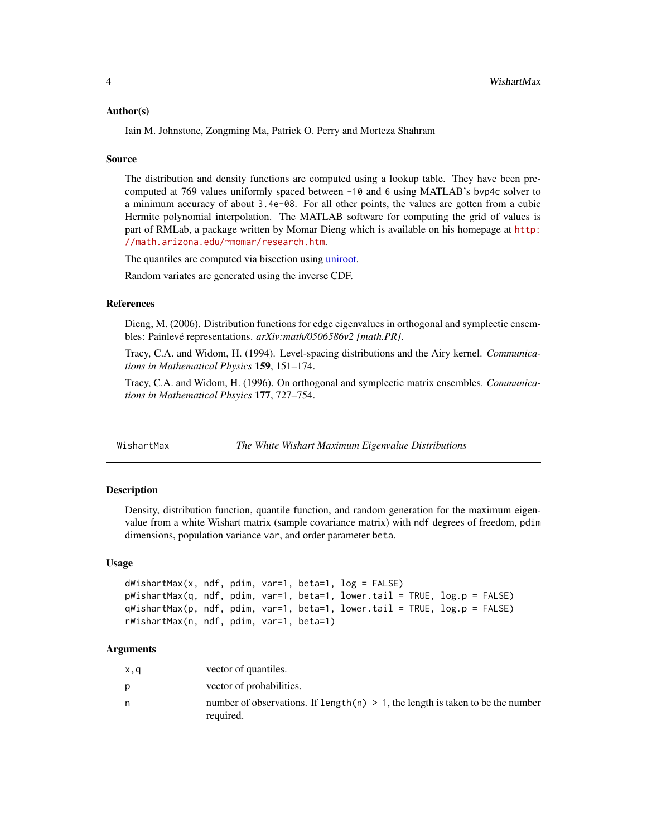#### <span id="page-3-0"></span>Author(s)

Iain M. Johnstone, Zongming Ma, Patrick O. Perry and Morteza Shahram

#### Source

The distribution and density functions are computed using a lookup table. They have been precomputed at 769 values uniformly spaced between -10 and 6 using MATLAB's bvp4c solver to a minimum accuracy of about 3.4e-08. For all other points, the values are gotten from a cubic Hermite polynomial interpolation. The MATLAB software for computing the grid of values is part of RMLab, a package written by Momar Dieng which is available on his homepage at [http:](http://math.arizona.edu/~momar/research.htm) [//math.arizona.edu/~momar/research.htm](http://math.arizona.edu/~momar/research.htm).

The quantiles are computed via bisection using [uniroot.](#page-0-0)

Random variates are generated using the inverse CDF.

#### References

Dieng, M. (2006). Distribution functions for edge eigenvalues in orthogonal and symplectic ensembles: Painlevé representations. *arXiv:math/0506586v2 [math.PR]*.

Tracy, C.A. and Widom, H. (1994). Level-spacing distributions and the Airy kernel. *Communications in Mathematical Physics* 159, 151–174.

Tracy, C.A. and Widom, H. (1996). On orthogonal and symplectic matrix ensembles. *Communications in Mathematical Phsyics* 177, 727–754.

<span id="page-3-1"></span>WishartMax *The White Wishart Maximum Eigenvalue Distributions*

#### Description

Density, distribution function, quantile function, and random generation for the maximum eigenvalue from a white Wishart matrix (sample covariance matrix) with ndf degrees of freedom, pdim dimensions, population variance var, and order parameter beta.

#### Usage

```
dWishartMax(x, ndf, pdim, var=1, beta=1, log = FALSE)pWishartMax(q, ndf, pdim, var=1, beta=1, lower.tail = TRUE, log.p = FALSE)
qWishartMax(p, ndf, pdim, var=1, beta=1, lower.tail = TRUE, log.p = FALSE)
rWishartMax(n, ndf, pdim, var=1, beta=1)
```
#### Arguments

| x,q | vector of quantiles.                                                                            |
|-----|-------------------------------------------------------------------------------------------------|
| D   | vector of probabilities.                                                                        |
| n   | number of observations. If length $(n) > 1$ , the length is taken to be the number<br>required. |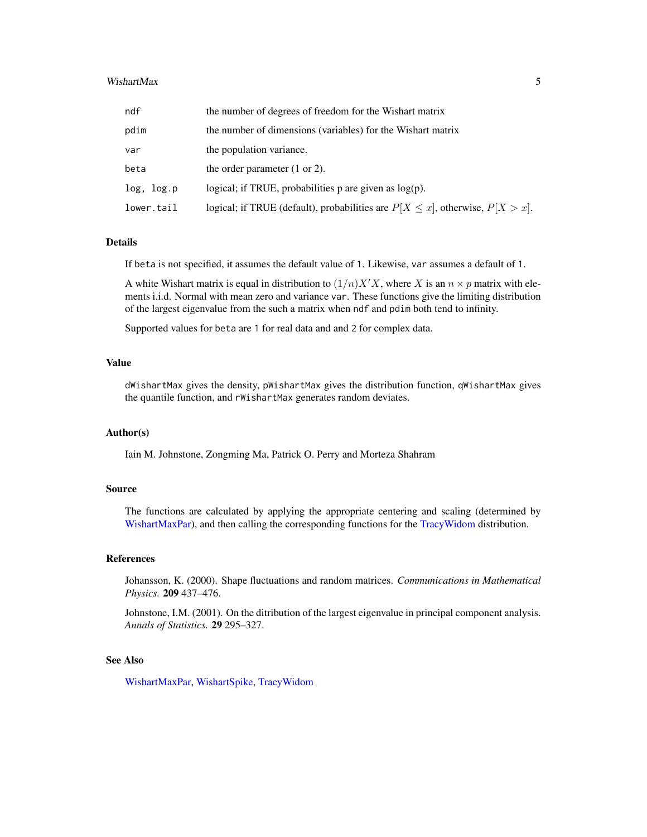#### <span id="page-4-0"></span>WishartMax 5

| ndf        | the number of degrees of freedom for the Wishart matrix                              |
|------------|--------------------------------------------------------------------------------------|
| pdim       | the number of dimensions (variables) for the Wishart matrix                          |
| var        | the population variance.                                                             |
| beta       | the order parameter $(1 or 2)$ .                                                     |
| log, log.p | logical; if TRUE, probabilities $p$ are given as $log(p)$ .                          |
| lower.tail | logical; if TRUE (default), probabilities are $P[X \le x]$ , otherwise, $P[X > x]$ . |

#### Details

If beta is not specified, it assumes the default value of 1. Likewise, var assumes a default of 1.

A white Wishart matrix is equal in distribution to  $(1/n)X'X$ , where X is an  $n \times p$  matrix with elements i.i.d. Normal with mean zero and variance var. These functions give the limiting distribution of the largest eigenvalue from the such a matrix when ndf and pdim both tend to infinity.

Supported values for beta are 1 for real data and and 2 for complex data.

#### Value

dWishartMax gives the density, pWishartMax gives the distribution function, qWishartMax gives the quantile function, and rWishartMax generates random deviates.

#### Author(s)

Iain M. Johnstone, Zongming Ma, Patrick O. Perry and Morteza Shahram

#### Source

The functions are calculated by applying the appropriate centering and scaling (determined by [WishartMaxPar\)](#page-5-1), and then calling the corresponding functions for the [TracyWidom](#page-2-1) distribution.

#### References

Johansson, K. (2000). Shape fluctuations and random matrices. *Communications in Mathematical Physics.* 209 437–476.

Johnstone, I.M. (2001). On the ditribution of the largest eigenvalue in principal component analysis. *Annals of Statistics.* 29 295–327.

#### See Also

[WishartMaxPar,](#page-5-1) [WishartSpike,](#page-6-1) [TracyWidom](#page-2-1)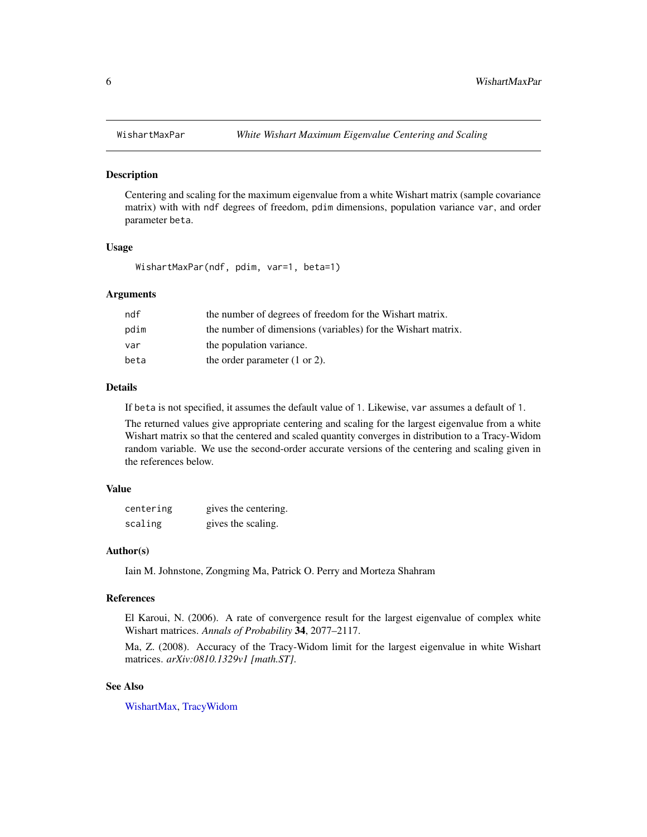#### Description

Centering and scaling for the maximum eigenvalue from a white Wishart matrix (sample covariance matrix) with with ndf degrees of freedom, pdim dimensions, population variance var, and order parameter beta.

#### Usage

WishartMaxPar(ndf, pdim, var=1, beta=1)

#### Arguments

| ndf  | the number of degrees of freedom for the Wishart matrix.     |
|------|--------------------------------------------------------------|
| pdim | the number of dimensions (variables) for the Wishart matrix. |
| var  | the population variance.                                     |
| beta | the order parameter $(1 \text{ or } 2)$ .                    |

#### Details

If beta is not specified, it assumes the default value of 1. Likewise, var assumes a default of 1.

The returned values give appropriate centering and scaling for the largest eigenvalue from a white Wishart matrix so that the centered and scaled quantity converges in distribution to a Tracy-Widom random variable. We use the second-order accurate versions of the centering and scaling given in the references below.

#### Value

| centering | gives the centering. |
|-----------|----------------------|
| scaling   | gives the scaling.   |

#### Author(s)

Iain M. Johnstone, Zongming Ma, Patrick O. Perry and Morteza Shahram

#### References

El Karoui, N. (2006). A rate of convergence result for the largest eigenvalue of complex white Wishart matrices. *Annals of Probability* 34, 2077–2117.

Ma, Z. (2008). Accuracy of the Tracy-Widom limit for the largest eigenvalue in white Wishart matrices. *arXiv:0810.1329v1 [math.ST]*.

#### See Also

[WishartMax,](#page-3-1) [TracyWidom](#page-2-1)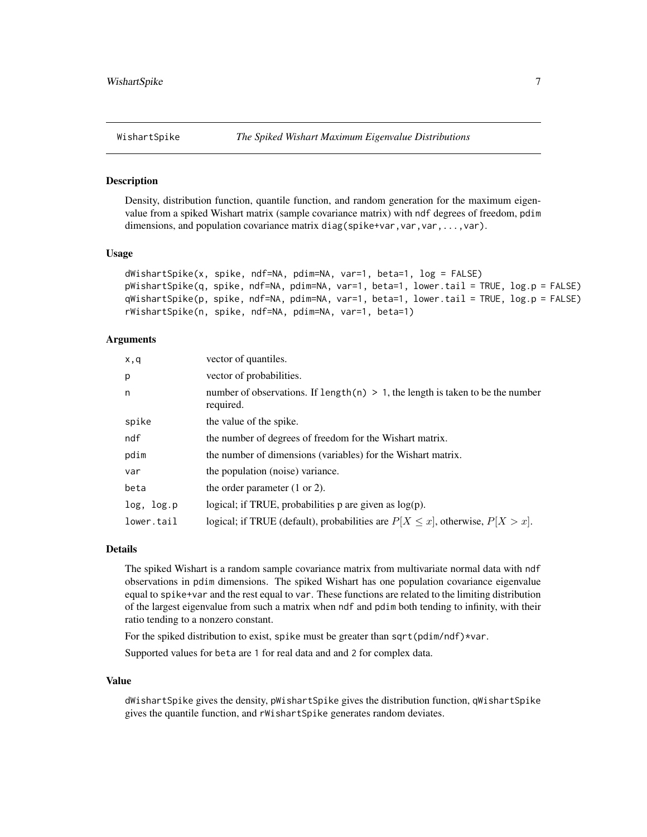#### <span id="page-6-1"></span><span id="page-6-0"></span>Description

Density, distribution function, quantile function, and random generation for the maximum eigenvalue from a spiked Wishart matrix (sample covariance matrix) with ndf degrees of freedom, pdim dimensions, and population covariance matrix diag(spike+var,var,var,...,var).

#### Usage

```
dWishartSpike(x, spike, ndf=NA, pdim=NA, var=1, beta=1, log = FALSE)
pWishartSpike(q, spike, ndf=NA, pdim=NA, var=1, beta=1, lower.tail = TRUE, log.p = FALSE)
qWishartSpike(p, spike, ndf=NA, pdim=NA, var=1, beta=1, lower.tail = TRUE, log.p = FALSE)
rWishartSpike(n, spike, ndf=NA, pdim=NA, var=1, beta=1)
```
#### Arguments

| x,q        | vector of quantiles.                                                                           |
|------------|------------------------------------------------------------------------------------------------|
| p          | vector of probabilities.                                                                       |
| n          | number of observations. If length(n) $> 1$ , the length is taken to be the number<br>required. |
| spike      | the value of the spike.                                                                        |
| ndf        | the number of degrees of freedom for the Wishart matrix.                                       |
| pdim       | the number of dimensions (variables) for the Wishart matrix.                                   |
| var        | the population (noise) variance.                                                               |
| beta       | the order parameter $(1 or 2)$ .                                                               |
| log, log.p | logical; if TRUE, probabilities $p$ are given as $log(p)$ .                                    |
| lower.tail | logical; if TRUE (default), probabilities are $P[X \le x]$ , otherwise, $P[X > x]$ .           |

#### Details

The spiked Wishart is a random sample covariance matrix from multivariate normal data with ndf observations in pdim dimensions. The spiked Wishart has one population covariance eigenvalue equal to spike+var and the rest equal to var. These functions are related to the limiting distribution of the largest eigenvalue from such a matrix when ndf and pdim both tending to infinity, with their ratio tending to a nonzero constant.

For the spiked distribution to exist, spike must be greater than sqrt(pdim/ndf)\*var.

Supported values for beta are 1 for real data and and 2 for complex data.

#### Value

dWishartSpike gives the density, pWishartSpike gives the distribution function, qWishartSpike gives the quantile function, and rWishartSpike generates random deviates.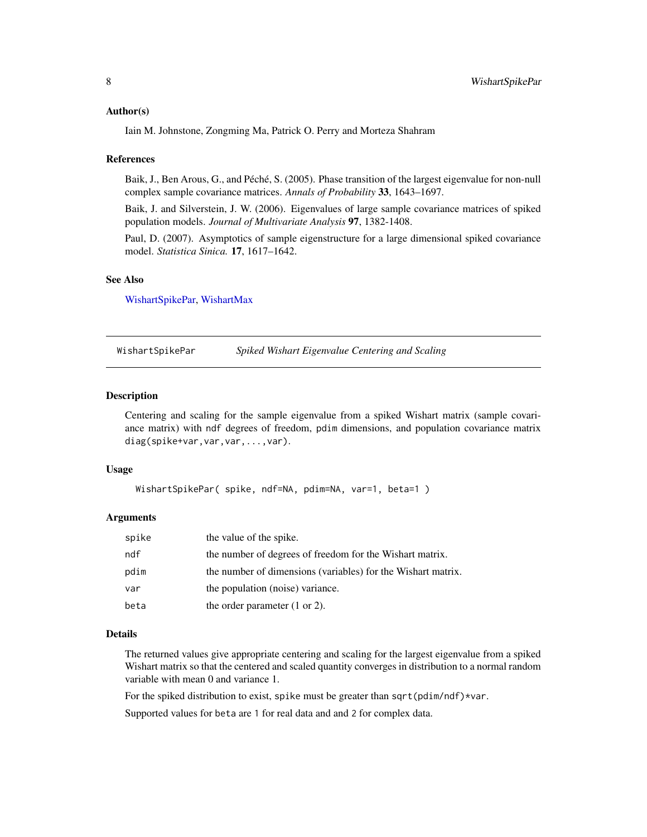#### <span id="page-7-0"></span>Author(s)

Iain M. Johnstone, Zongming Ma, Patrick O. Perry and Morteza Shahram

#### References

Baik, J., Ben Arous, G., and Péché, S. (2005). Phase transition of the largest eigenvalue for non-null complex sample covariance matrices. *Annals of Probability* 33, 1643–1697.

Baik, J. and Silverstein, J. W. (2006). Eigenvalues of large sample covariance matrices of spiked population models. *Journal of Multivariate Analysis* 97, 1382-1408.

Paul, D. (2007). Asymptotics of sample eigenstructure for a large dimensional spiked covariance model. *Statistica Sinica.* 17, 1617–1642.

#### See Also

[WishartSpikePar,](#page-7-1) [WishartMax](#page-3-1)

<span id="page-7-1"></span>WishartSpikePar *Spiked Wishart Eigenvalue Centering and Scaling*

#### **Description**

Centering and scaling for the sample eigenvalue from a spiked Wishart matrix (sample covariance matrix) with ndf degrees of freedom, pdim dimensions, and population covariance matrix diag(spike+var,var,var,...,var).

#### Usage

```
WishartSpikePar( spike, ndf=NA, pdim=NA, var=1, beta=1)
```
#### Arguments

| spike | the value of the spike.                                      |
|-------|--------------------------------------------------------------|
| ndf   | the number of degrees of freedom for the Wishart matrix.     |
| pdim  | the number of dimensions (variables) for the Wishart matrix. |
| var   | the population (noise) variance.                             |
| beta  | the order parameter $(1 or 2)$ .                             |

#### Details

The returned values give appropriate centering and scaling for the largest eigenvalue from a spiked Wishart matrix so that the centered and scaled quantity converges in distribution to a normal random variable with mean 0 and variance 1.

For the spiked distribution to exist, spike must be greater than sqrt(pdim/ndf)\*var.

Supported values for beta are 1 for real data and and 2 for complex data.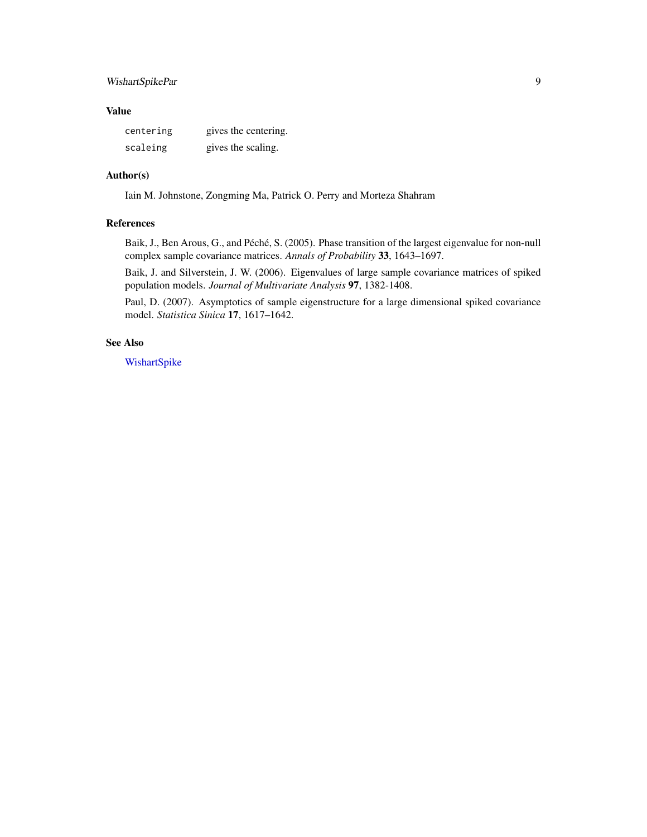#### <span id="page-8-0"></span>WishartSpikePar 9

#### Value

| centering | gives the centering. |
|-----------|----------------------|
| scaleing  | gives the scaling.   |

#### Author(s)

Iain M. Johnstone, Zongming Ma, Patrick O. Perry and Morteza Shahram

#### References

Baik, J., Ben Arous, G., and Péché, S. (2005). Phase transition of the largest eigenvalue for non-null complex sample covariance matrices. *Annals of Probability* 33, 1643–1697.

Baik, J. and Silverstein, J. W. (2006). Eigenvalues of large sample covariance matrices of spiked population models. *Journal of Multivariate Analysis* 97, 1382-1408.

Paul, D. (2007). Asymptotics of sample eigenstructure for a large dimensional spiked covariance model. *Statistica Sinica* 17, 1617–1642.

#### See Also

[WishartSpike](#page-6-1)